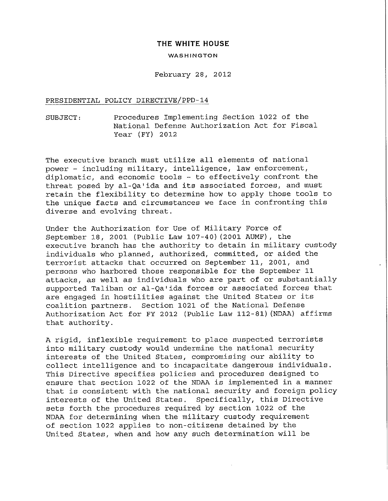## **THE WHITE HOUSE**

## WASHINGTON

February 28, 2012

### PRESIDENTIAL POLICY DIRECTIVE/PPD-14

SUBJECT: Procedures Implementing Section 1022 of the National Defense Authorization Act for Fiscal Year (FY) 2012

The executive branch must utilize all elements of national power - including military, intelligence, law enforcement, diplomatic, and economic tools - to effectively confront the threat posed by al-Qa'ida and its associated forces, and must retain the flexibility to determine how to apply those tools to the unique facts and circumstances we face in confronting this diverse and evolving threat.

Under the Authorization for Use of Military Force of September 18, 2001 (Public Law 107-40) (2001 AUMF), the executive branch has the authority to detain in military custody individuals who planned, authorized, committed, or aided the terrorist attacks that occurred on September 11, 2001, and persons who harbored those responsible for the September 11 attacks, as well as individuals who are part of or substantially supported Taliban or al-Qa'ida forces or associated forces that are engaged in hostilities against the United States or its coalition partners. Section 1021 of the National Defense Authorization Act for FY 2012 (Public Law 112-81) (NDAA) affirms that authority.

A rigid, inflexible requirement to place suspected terrorists into military custody would undermine the national security interests of the United States, compromising our ability to collect intelligence and to incapacitate dangerous individuals. This Directive specifies policies and procedures designed to ensure that section 1022 of the NDAA is implemented in a manner that is consistent with the national security and foreign policy interests of the United States. Specifically, this Directive sets forth the procedures required by section 1022 of the NDAA for determining when the military custody requirement of section 1022 applies to non-citizens detained by the United States, when and how any such determination will be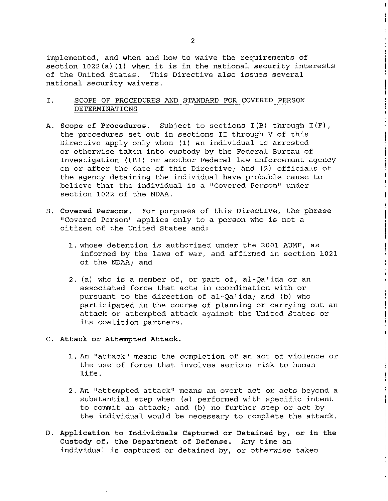implemented, and when and how to waive the requirements of section  $1022(a)(1)$  when it is in the national security interests of the United States. This Directive also issues several national security waivers.

# I. SCOPE OF PROCEDURES AND STANDARD FOR COVERED PERSON DETERMINATIONS

- A. Scope of Procedures. Subject to sections I(B) through I(F), the procedures set out in sections II through V of this Directive apply only when (1) an individual is arrested or otherwise taken into custody by the Federal Bureau of Investigation (FBI) or another Federal law enforcement agency on or after the date of this Directive; and (2) officials of the agency detaining the individual have probable cause to believe that the individual is a "Covered Person" under section 1022 of the NDAA.
- B. Covered Persons. For purposes of this Directive, the phrase "Covered Person" applies only to a person who is not a citizen of the United States and:
	- 1. whose detention is authorized under the 2001 AUMF, as informed by the laws of war, and affirmed in section 1021 of the NDAA; and
	- 2. (a) who is a member of, or part of, al-Qa'ida or an associated force that acts in coordination with or pursuant to the direction of al-Qa'ida; and (b) who participated in the course of planning or carrying out an attack or attempted attack against the United States or its coalition partners.

#### **C.** Attack or Attempted Attack.

- 1. An "attack" means the completion of an act of violence or the use of force that involves serious risk to human life .
- 2. An "attempted attack" means an overt act or acts beyond a substantial step when (a) performed with specific intent to commit an attack; and (b) no further step or act by the individual would be necessary to complete the attack.
- D. Application to Individuals Captured or Detained by, or in the Custody of, the Department of Defense. Any time an individual is captured or detained by, or otherwise taken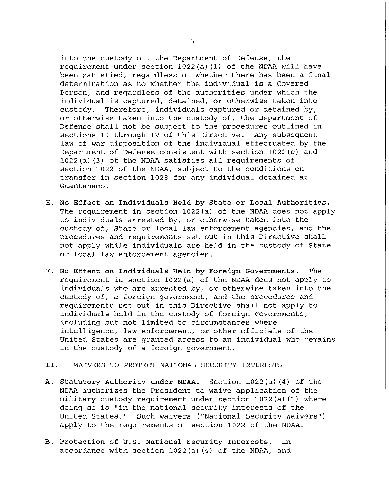into the custody of, the Department of Defense, the requirement under section  $1022(a)(1)$  of the NDAA will have been satisfied, regardless of whether there has been a final determination as to whether the individual is a Covered Person, and regardless of the authorities under which the individual is captured, detained, or otherwise taken into custody. Therefore, individuals captured or detained by, or otherwise taken into the custody of, the Department of Defense shall not be subject to the procedures outlined in sections II through IV of this Directive. Any subsequent law of war disposition of the individual effectuated by the Department of Defense consistent with section  $1021(c)$  and  $1022(a)(3)$  of the NDAA satisfies all requirements of section 1022 of the NDAA, subject to the conditions on transfer in section 1028 for any individual detained at Guantanamo.

- E. No Effect on Individuals Held by State or Local Authorities. The requirement in section 1022(a) of the NDAA does not apply to individuals arrested by, or otherwise taken into the custody of, State or local law enforcement agencies, and the procedures and requirements set out in this Directive shall not apply while individuals are held in the custody of State or local law enforcement agencies.
- F. **No Effec t on Individual s Held by Foreig n Governments.** The requirement in section 1022(a) of the NDAA does not apply to individuals who are arrested by, or otherwise taken into the custody of, a foreign government, and the procedures and requirements set out in this Directive shall not apply to individuals held in the custody of foreign governments, including but not limited to circumstances where intelligence, law enforcement, or other officials of the United States are granted access to an individual who remains in the custody of a foreign government.

## II. WAIVERS TO PROTECT NATIONAL SECURITY INTERESTS

- A. Statutory Authority under NDAA. Section 1022(a)(4) of the NDAA authorizes the President to waive application of the military custody requirement under section  $1022(a)(1)$  where doing so is "in the national security interests of the United States." Such waivers ("National Security Waivers") apply to the requirements of section 1022 of the NDAA.
- B. Protection of U.S. National Security Interests. In accordance with section  $1022(a)(4)$  of the NDAA, and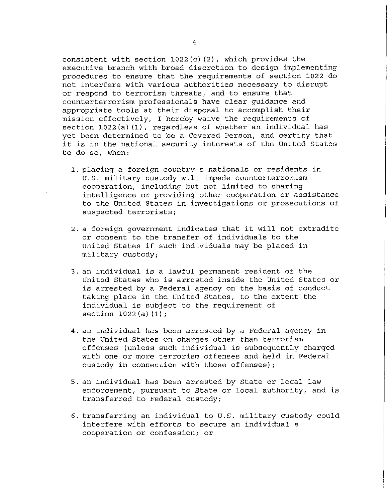consistent with section  $1022(c)$  (2), which provides the executive branch with broad discretion to design implementing procedures to ensure that the requirements of section 1022 do not interfere with various authorities necessary to disrupt or respond to terrorism threats, and to ensure that counterterrorism professionals have clear quidance and appropriate tools at their disposal to accomplish their mission effectively, I hereby waive the requirements of section  $1022(a)(1)$ , regardless of whether an individual has yet been determined to be a Covered Person, and certify that it is in the national security interests of the United States to do so, when:

- 1. placing a foreign country's nationals or residents in U.S. military custody will impede counterterrorism cooperation, including but not limited to sharing intelligence or providing other cooperation or assistance to the United States in investigations or prosecutions of suspected terrorists;
- 2. a foreign government indicates that it will not extradite or consent to the transfer of individuals to the United States if such individuals may be placed in  $military$  custody;
- 3. an individual is a lawful permanent resident of the United States who is arrested inside the United States or is arrested by a Federal agency on the basis of conduct taking place in the United States, to the extent the individual is subject to the requirement of section  $1022(a)(1)$ :
- 4. an individual has been arrested by a Federal agency in the United States on charges other than terrorism offenses (unless such individual is subsequently charged with one or more terrorism offenses and held in Federal custody in connection with those offenses);
- 5. an individual has been arrested by State or local law enforcement, pursuant to State or local authority, and is transferred to Federal custody;
- 6. transferring an individual to U.S. military custody could interfere with efforts to secure an individual's cooperation or confession; or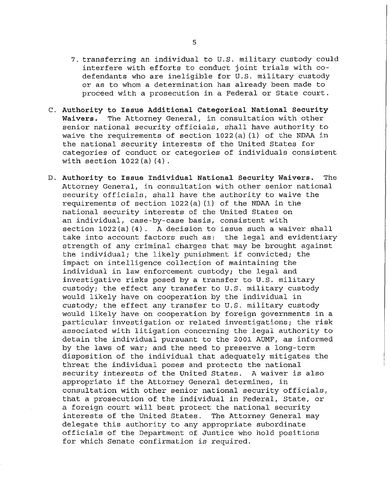- 7. transferring an individual to U.S. military custody could interfere with efforts to conduct joint trials with codefendants who are ineligible for U.S. military custody or as to whom a determination has already been made to proceed with a prosecution in a Federal or State court.
- C. **Authorit y to Issu e Additiona l Categorica l Nationa l Securit <sup>y</sup>** Waivers. The Attorney General, in consultation with other senior national security officials, shall have authority to waive the requirements of section  $1022(a)$  (1) of the NDAA in the national security interests of the United States for categories of conduct or categories of individuals consistent with section  $1022(a)(4)$ .
- D. Authority to Issue Individual National Security Waivers. The Attorney General, in consultation with other senior national security officials, shall have the authority to waive the requirements of section  $1022(a)(1)$  of the NDAA in the national security interests of the United States on an individual, case-by-case basis, consistent with section  $1022(a)(4)$ . A decision to issue such a waiver shall take into account factors such as: the legal and evidentiary strength of any criminal charges that may be brought against the individual; the likely punishment if convicted; the impact on intelligence collection of maintaining the individual in law enforcement custody; the legal and investigative risks posed by a transfer to U.S. military custody; the effect any transfer to U.S. military custody would likely have on cooperation by the individual in custody; the effect any transfer to U.S. military custody would likely have on cooperation by foreign governments in a particular investigation or related investigations; the risk associated with litigation concerning the legal authority to detain the individual pursuant to the 2001 AUMF, as informed by the laws of war; and the need to preserve a long-term disposition of the individual that adequately mitigates the threat the individual poses and protects the national security interests of the United States. A waiver is also appropriate if the Attorney General determines, in consultation with other senior national security officials, that a prosecution of the individual in Federal, State, or a foreign court will best protect the national security interests of the United States. The Attorney General may delegate this authority to any appropriate subordinate officials of the Department of Justice who hold positions for which Senate confirmation is required.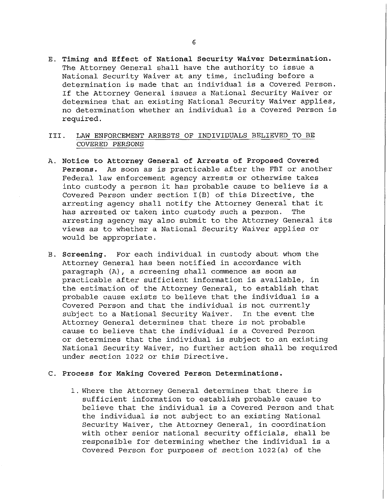E. Timing and Effect of National Security Waiver Determination. The Attorney General shall have the authority to issue a National Security Waiver at any time, including before a determination is made that an individual is a Covered Person. If the Attorney General issues a National Security Waiver or determines that an existing National Security Waiver applies, no determination whether an individual is a Covered Person is required .

# III. LAW ENFORCEMENT ARRESTS OF INDIVIDUALS BELIEVED TO BE COVERED PERSONS

- A. Notice to Attorney General of Arrests of Proposed Covered Persons. As soon as is practicable after the FBI or another Federal law enforcement agency arrests or otherwise takes into custody a person it has probable cause to believe is a Covered Person under section  $I(B)$  of this Directive, the arresting agency shall notify the Attorney General that it has arrested or taken into custody such a person. The arresting agency may also submit to the Attorney General its views as to whether a National Security Waiver applies or would be appropriate.
- B. Screening. For each individual in custody about whom the Attorney General has been notified in accordance with paragraph  $(A)$ , a screening shall commence as soon as practicable after sufficient information is available, in the estimation of the Attorney General, to establish that probable cause exists to believe that the individual is a Covered Person and that the individual is not currently subject to a National Security Waiver. In the event the Attorney General determines that there is not probable cause to believe that the individual is a Covered Person or determines that the individual is subject to an existing National Security Waiver, no further action shall be required under section 1022 or this Directive.

# C. **Proces s fo r Making Covered Person Determinations .**

1. Where the Attorney General determines that there is sufficient information to establish probable cause to believe that the individual is a Covered Person and that the individual is not subject to an existing National Security Waiver, the Attorney General, in coordination with other senior national security officials, shall be responsible for determining whether the individual is a Covered Person for purposes of section  $1022(a)$  of the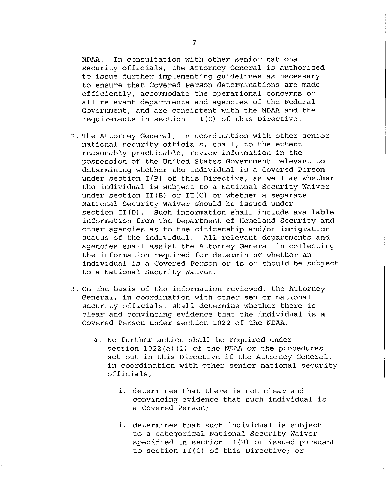NDAA. In consultation with other senior national security officials, the Attorney General is authorized to issue further implementing quidelines as necessary to ensure that Covered Person determinations are made efficiently, accommodate the operational concerns of all relevant departments and agencies of the Federal Government, and are consistent with the NDAA and the requirements in section  $III(C)$  of this Directive.

- 2. The Attorney General, in coordination with other senior national security officials, shall, to the extent reasonably practicable, review information in the possession of the United States Government relevant to determining whether the individual is a Covered Person under section  $I(B)$  of this Directive, as well as whether the individual is subject to a National Security Waiver under section  $IT(B)$  or  $IT(C)$  or whether a separate National Security Waiver should be issued under section  $II(D)$ . Such information shall include available information from the Department of Homeland Security and other agencies as to the citizenship and/or immigration status of the individual. All relevant departments and agencies shall assist the Attorney General in collecting the information required for determining whether an individual is a Covered Person or is or should be subject to a National Security Waiver.
- 3. On the basis of the information reviewed, the Attorney General, in coordination with other senior national security officials, shall determine whether there is clear and convincing evidence that the individual is a Covered Person under section 1022 of the NDAA.
	- a. No further action shall be required under section  $1022(a)(1)$  of the NDAA or the procedures set out in this Directive if the Attorney General, in coordination with other senior national security officials ,
		- i. determines that there is not clear and convincing evidence that such individual is a Covered Person;
		- ii. determines that such individual is subject to a categorical National Security Waiver specified in section  $II(B)$  or issued pursuant to section  $II(C)$  of this Directive; or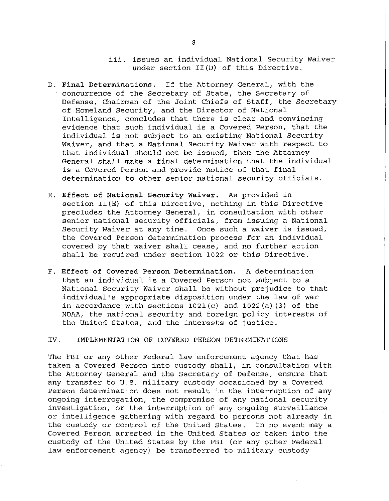iii. issues an individual National Security Waiver under section  $II(D)$  of this Directive.

- D. Final Determinations. If the Attorney General, with the concurrence of the Secretary of State, the Secretary of Defense, Chairman of the Joint Chiefs of Staff, the Secretary of Homeland Security, and the Director of National Intelligence, concludes that there is clear and convincing evidence that such individual is a Covered Person, that the individual is not subject to an existing National Security Waiver, and that a National Security Waiver with respect to that individual should not be issued, then the Attorney General shall make a final determination that the individual is a Covered Person and provide notice of that final determination to other senior national security officials.
- **E.** Effect of National Security Waiver. As provided in section  $II(E)$  of this Directive, nothing in this Directive precludes the Attorney General, in consultation with other senior national security officials, from issuing a National Security Waiver at any time. Once such a waiver is issued, the Covered Person determination process for an individual covered by that waiver shall cease, and no further action shall be required under section 1022 or this Directive.
- F. Effect of Covered Person Determination. A determination that an individual is a Covered Person not subject to a National Security Waiver shall be without prejudice to that individual's appropriate disposition under the law of war in accordance with sections  $1021(c)$  and  $1022(a)(3)$  of the NDAA, the national security and foreign policy interests of the United States, and the interests of justice.

### IV. IMPLEMENTATION OF COVERED PERSON DETERMINATIONS

The FBI or any other Federal law enforcement agency that has taken a Covered Person into custody shall, in consultation with the Attorney General and the Secretary of Defense, ensure that any transfer to U.S. military custody occasioned by a Covered Person determination does not result in the interruption of any ongoing interrogation, the compromise of any national security investigation, or the interruption of any ongoing surveillance or intelligence gathering with regard to persons not already in the custody or control of the United States. In no event may a Covered Person arrested in the United States or taken into the custody of the United States by the FBI (or any other Federal law enforcement agency) be transferred to military custody

8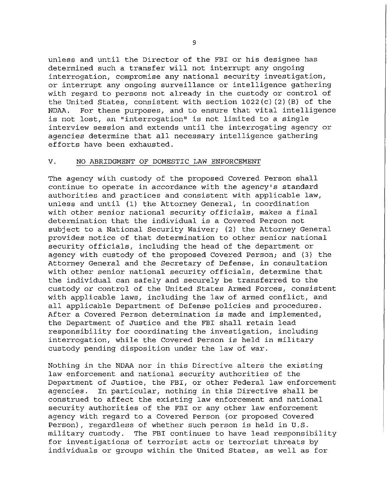unless and until the Director of the FBI or his designee has determined such a transfer will not interrupt any ongoing interrogation, compromise any national security investigation, or interrupt any ongoing surveillance or intelligence gathering with regard to persons not already in the custody or control of the United States, consistent with section  $1022(c)(2)(B)$  of the NDAA. For these purposes, and to ensure that vital intelligence is not lost, an "interrogation" is not limited to a single interview session and extends until the interrogating agency or agencies determine that all necessary intelligence gathering efforts have been exhausted.

#### V. NO ABRIDGMENT OF DOMESTIC LAW ENFORCEMENT

The agency with custody of the proposed Covered Person shall continue to operate in accordance with the agency's standard authorities and practices and consistent with applicable law, unless and until (1) the Attorney General, in coordination with other senior national security officials, makes a final determination that the individual is a Covered Person not subject to a National Security Waiver; (2) the Attorney General provides notice of that determination to other senior national security officials, including the head of the department or agency with custody of the proposed Covered Person; and (3) the Attorney General and the Secretary of Defense, in consultation with other senior national security officials, determine that the individual can safely and securely be transferred to the custody or control of the United States Armed Forces, consistent with applicable laws, including the law of armed conflict, and all applicable Department of Defense policies and procedures. After a Covered Person determination is made and implemented, the Department of Justice and the FBI shall retain lead responsibility for coordinating the investigation, including interrogation, while the Covered Person is held in military custody pending disposition under the law of war.

Nothing in the NDAA nor in this Directive alters the existing law enforcement and national security authorities of the Department of Justice, the FBI, or other Federal law enforcement agencies. In particular, nothing in this Directive shall be construed to affect the existing law enforcement and national security authorities of the FBI or any other law enforcement agency with regard to a Covered Person (or proposed Covered Person), regardless of whether such person is held in U.S. military custody. The FBI continues to have lead responsibility for investigations of terrorist acts or terrorist threats by individuals or groups within the United States, as well as for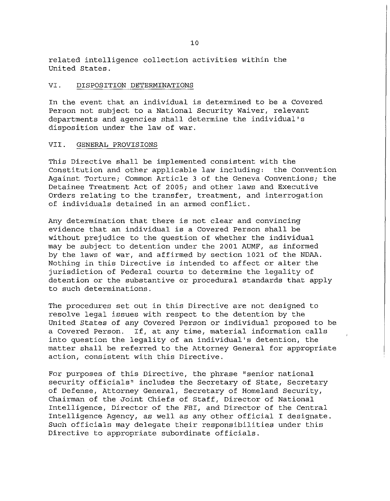related intelligence collection activities within the United States.

### VI. DISPOSITION DETERMINATIONS

In the event that an individual is determined to be a Covered Person not subject to a National Security Waiver, relevant departments and agencies shall determine the individual's disposition under the law of war.

# VII. GENERAL PROVISIONS

This Directive shall be implemented consistent with the Constitution and other applicable law including: the Convention Against Torture; Common Article 3 of the Geneva Conventions; the Detainee Treatment Act of 2005; and other laws and Executive Orders relating to the transfer, treatment, and interrogation of individuals detained in an armed conflict.

Any determination that there is not clear and convincing evidence that an individual is a Covered Person shall be without prejudice to the question of whether the individual may be subject to detention under the 2001 AUMF, as informed by the laws of war, and affirmed by section 1021 of the NDAA. Nothing in this Directive is intended to affect or alter the jurisdiction of Federal courts to determine the legality of detention or the substantive or procedural standards that apply to such determinations.

The procedures set out in this Directive are not designed to resolve legal issues with respect to the detention by the United States of any Covered Person or individual proposed to be a Covered Person. If, at any time, material information calls into question the legality of an individual's detention, the matter shall be referred to the Attorney General for appropriate action, consistent with this Directive.

For purposes of this Directive, the phrase "senior national security officials" includes the Secretary of State, Secretary of Defense, Attorney General, Secretary of Homeland Security, Chairman of the Joint Chiefs of Staff, Director of National Intelligence, Director of the FBI, and Director of the Central Intelligence Agency, as well as any other official I designate. Such officials may delegate their responsibilities under this Directive to appropriate subordinate officials.